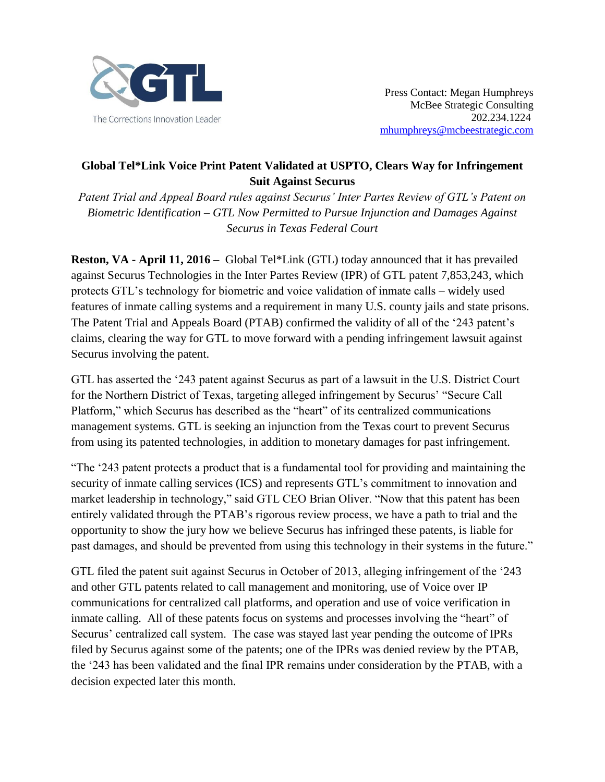

## **Global Tel\*Link Voice Print Patent Validated at USPTO, Clears Way for Infringement Suit Against Securus**

*Patent Trial and Appeal Board rules against Securus' Inter Partes Review of GTL's Patent on Biometric Identification – GTL Now Permitted to Pursue Injunction and Damages Against Securus in Texas Federal Court*

**Reston, VA - April 11, 2016 –** Global Tel\*Link (GTL) today announced that it has prevailed against Securus Technologies in the Inter Partes Review (IPR) of GTL patent 7,853,243, which protects GTL's technology for biometric and voice validation of inmate calls – widely used features of inmate calling systems and a requirement in many U.S. county jails and state prisons. The Patent Trial and Appeals Board (PTAB) confirmed the validity of all of the '243 patent's claims, clearing the way for GTL to move forward with a pending infringement lawsuit against Securus involving the patent.

GTL has asserted the '243 patent against Securus as part of a lawsuit in the U.S. District Court for the Northern District of Texas, targeting alleged infringement by Securus' "Secure Call Platform," which Securus has described as the "heart" of its centralized communications management systems. GTL is seeking an injunction from the Texas court to prevent Securus from using its patented technologies, in addition to monetary damages for past infringement.

"The '243 patent protects a product that is a fundamental tool for providing and maintaining the security of inmate calling services (ICS) and represents GTL's commitment to innovation and market leadership in technology," said GTL CEO Brian Oliver. "Now that this patent has been entirely validated through the PTAB's rigorous review process, we have a path to trial and the opportunity to show the jury how we believe Securus has infringed these patents, is liable for past damages, and should be prevented from using this technology in their systems in the future."

GTL filed the patent suit against Securus in October of 2013, alleging infringement of the '243 and other GTL patents related to call management and monitoring, use of Voice over IP communications for centralized call platforms, and operation and use of voice verification in inmate calling. All of these patents focus on systems and processes involving the "heart" of Securus' centralized call system. The case was stayed last year pending the outcome of IPRs filed by Securus against some of the patents; one of the IPRs was denied review by the PTAB, the '243 has been validated and the final IPR remains under consideration by the PTAB, with a decision expected later this month.